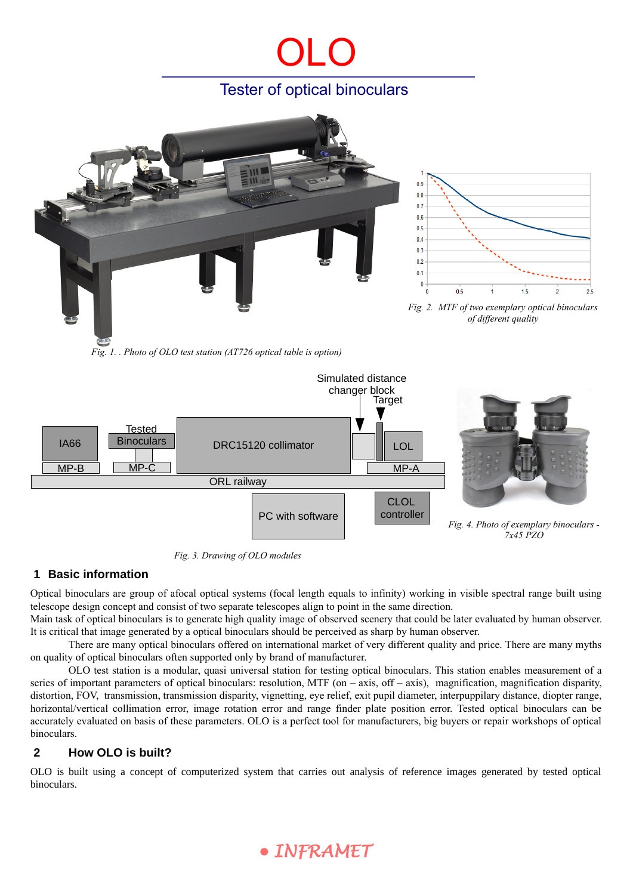# OLO Tester of optical binoculars



*Fig. 1. . Photo of OLO test station (AT726 optical table is option)*



*Fig. 3. Drawing of OLO modules*

### **1 Basic information**

Optical binoculars are group of afocal optical systems (focal length equals to infinity) working in visible spectral range built using telescope design concept and consist of two separate telescopes align to point in the same direction.

Main task of optical binoculars is to generate high quality image of observed scenery that could be later evaluated by human observer. It is critical that image generated by a optical binoculars should be perceived as sharp by human observer.

There are many optical binoculars offered on international market of very different quality and price. There are many myths on quality of optical binoculars often supported only by brand of manufacturer.

OLO test station is a modular, quasi universal station for testing optical binoculars. This station enables measurement of a series of important parameters of optical binoculars: resolution, MTF (on  $-$  axis, off  $-$  axis), magnification, magnification disparity, distortion, FOV, transmission, transmission disparity, vignetting, eye relief, exit pupil diameter, interpuppilary distance, diopter range, horizontal/vertical collimation error, image rotation error and range finder plate position error. Tested optical binoculars can be accurately evaluated on basis of these parameters. OLO is a perfect tool for manufacturers, big buyers or repair workshops of optical binoculars.

### **2 How OLO is built?**

OLO is built using a concept of computerized system that carries out analysis of reference images generated by tested optical binoculars.

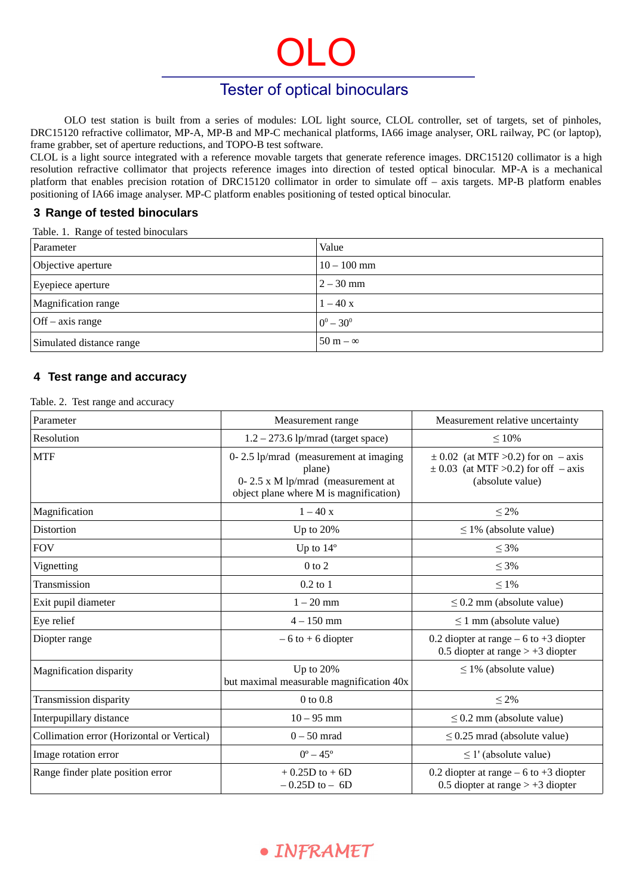# Tester of optical binoculars

OLO

OLO test station is built from a series of modules: LOL light source, CLOL controller, set of targets, set of pinholes, DRC15120 refractive collimator, MP-A, MP-B and MP-C mechanical platforms, IA66 image analyser, ORL railway, PC (or laptop), frame grabber, set of aperture reductions, and TOPO-B test software.

CLOL is a light source integrated with a reference movable targets that generate reference images. DRC15120 collimator is a high resolution refractive collimator that projects reference images into direction of tested optical binocular. MP-A is a mechanical platform that enables precision rotation of DRC15120 collimator in order to simulate off – axis targets. MP-B platform enables positioning of IA66 image analyser. MP-C platform enables positioning of tested optical binocular.

#### **3 Range of tested binoculars**

Table. 1. Range of tested binoculars

| Parameter                               | Value           |
|-----------------------------------------|-----------------|
| Objective aperture                      | $10 - 100$ mm   |
| Eyepiece aperture                       | $2 - 30$ mm     |
| Magnification range                     | $1 - 40x$       |
| $\sqrt{\text{Off} - \text{axis range}}$ | $0^0 - 30^0$    |
| Simulated distance range                | $50 m - \infty$ |

### **4 Test range and accuracy**

Table. 2. Test range and accuracy

| Parameter                                  | Measurement range                                                                                                              | Measurement relative uncertainty                                                                          |
|--------------------------------------------|--------------------------------------------------------------------------------------------------------------------------------|-----------------------------------------------------------------------------------------------------------|
| Resolution                                 | $1.2 - 273.6$ lp/mrad (target space)                                                                                           | $\leq 10\%$                                                                                               |
| <b>MTF</b>                                 | 0-2.5 lp/mrad (measurement at imaging<br>plane)<br>0-2.5 x M lp/mrad (measurement at<br>object plane where M is magnification) | $\pm$ 0.02 (at MTF >0.2) for on $-$ axis<br>$\pm$ 0.03 (at MTF >0.2) for off $-$ axis<br>(absolute value) |
| Magnification                              | $1-40x$                                                                                                                        | $\leq 2\%$                                                                                                |
| Distortion                                 | Up to 20%                                                                                                                      | $\leq$ 1% (absolute value)                                                                                |
| <b>FOV</b>                                 | Up to $14^{\circ}$                                                                                                             | $\leq 3\%$                                                                                                |
| Vignetting                                 | $0$ to $2$                                                                                                                     | $\leq 3\%$                                                                                                |
| Transmission                               | $0.2$ to $1$                                                                                                                   | $\leq 1\%$                                                                                                |
| Exit pupil diameter                        | $1 - 20$ mm                                                                                                                    | $\leq$ 0.2 mm (absolute value)                                                                            |
| Eye relief                                 | $4 - 150$ mm                                                                                                                   | $\leq$ 1 mm (absolute value)                                                                              |
| Diopter range                              | $-6$ to $+6$ diopter                                                                                                           | 0.2 diopter at range $-6$ to $+3$ diopter<br>0.5 diopter at range $> +3$ diopter                          |
| <b>Magnification disparity</b>             | Up to 20%<br>but maximal measurable magnification 40x                                                                          | $\leq$ 1% (absolute value)                                                                                |
| <b>Transmission disparity</b>              | 0 to 0.8                                                                                                                       | $\leq 2\%$                                                                                                |
| Interpupillary distance                    | $10 - 95$ mm                                                                                                                   | $\leq$ 0.2 mm (absolute value)                                                                            |
| Collimation error (Horizontal or Vertical) | $0 - 50$ mrad                                                                                                                  | $\leq$ 0.25 mrad (absolute value)                                                                         |
| Image rotation error                       | $0^{\circ} - 45^{\circ}$                                                                                                       | $\leq$ 1' (absolute value)                                                                                |
| Range finder plate position error          | $+ 0.25D$ to $+ 6D$<br>$-0.25D$ to $-6D$                                                                                       | 0.2 diopter at range $-6$ to $+3$ diopter<br>0.5 diopter at range $> +3$ diopter                          |

· INFRAMET